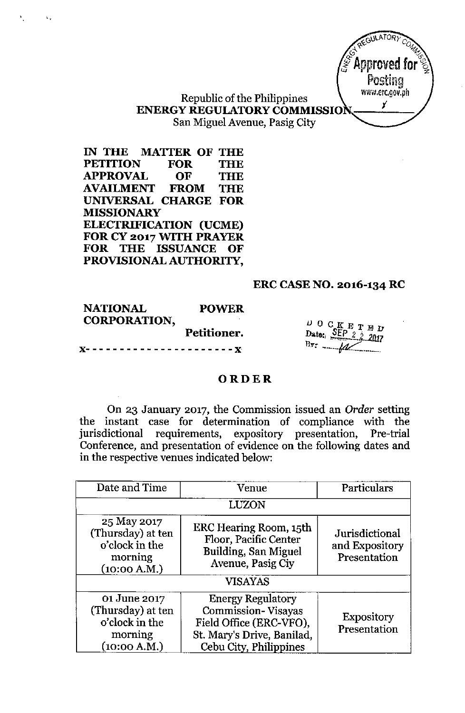JULATORY Approved for Postina www.erc.gov.ph Y

# Republic of the Philippines **ENERGY REGULATORY COMMISSIO** San Miguel Avenue, Pasig City

**IN THE MATTER OF THE PETITION FOR THE APPROVAL OF THE AVAILMENT FROM THE UNIVERSAL CHARGE FOR MISSIONARY ELECTRIFICATION (UCME) FOR CY 2017 WITH PRAYER FOR THE ISSUANCE OF PROVISIONAL AUTHORITY,**

 $\Delta_{\rm{eff}}$ 

#### **ERC CASE NO. 2016-134 RC**

| <b>NATIONAL</b>     | <b>POWER</b> |
|---------------------|--------------|
| <b>CORPORATION,</b> |              |
|                     | Petitioner.  |
|                     |              |

 $\frac{D}{D}$  O C K E T E D<br>Dato:,  $\frac{SEP}{D}$  2 2 2017 Bv. **-. ..-.\_\_ .**t&C- ---'.\_- ..\_,

#### **ORDER**

On 23 January 2017, the Commission issued an *Order* setting the instant case for determination of compliance with the jurisdictional requirements, expository presentation, Pre-trial Conference, and presentation of evidence on the following dates and in the respective venues indicated below:

| Date and Time                                                                  | Venue                                                                                                                                    | Particulars                                      |
|--------------------------------------------------------------------------------|------------------------------------------------------------------------------------------------------------------------------------------|--------------------------------------------------|
| LUZON                                                                          |                                                                                                                                          |                                                  |
| 25 May 2017<br>(Thursday) at ten<br>o'clock in the<br>morning<br>(10:00 A.M.)  | <b>ERC Hearing Room, 15th</b><br>Floor, Pacific Center<br>Building, San Miguel<br>Avenue, Pasig Ciy                                      | Jurisdictional<br>and Expository<br>Presentation |
| <b>VISAYAS</b>                                                                 |                                                                                                                                          |                                                  |
| 01 June 2017<br>(Thursday) at ten<br>o'clock in the<br>morning<br>(10:00 A.M.) | <b>Energy Regulatory</b><br><b>Commission-Visayas</b><br>Field Office (ERC-VFO),<br>St. Mary's Drive, Banilad,<br>Cebu City, Philippines | <b>Expository</b><br>Presentation                |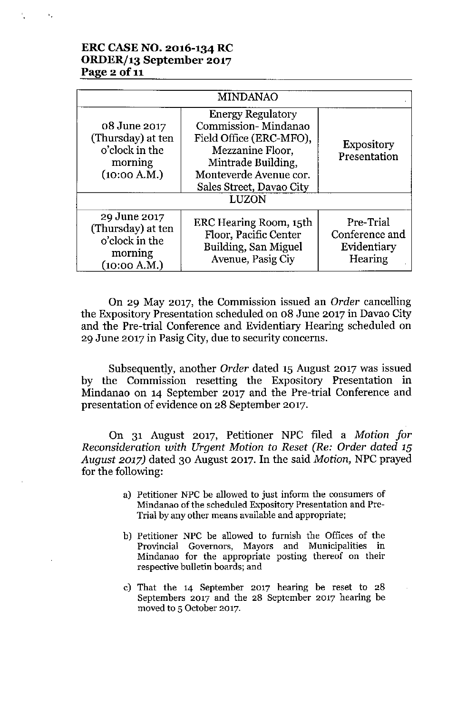#### **ERC CASE NO. 2016-134 RC ORDER/13 September 2017 Page 2 of 11**

 $\tilde{\mathcal{F}}_t$ 

|                                                                                | <b>MINDANAO</b>                                                                                                                                                                     |                                                       |
|--------------------------------------------------------------------------------|-------------------------------------------------------------------------------------------------------------------------------------------------------------------------------------|-------------------------------------------------------|
| 08 June 2017<br>(Thursday) at ten<br>o'clock in the<br>morning<br>(10:00 A.M.) | <b>Energy Regulatory</b><br>Commission-Mindanao<br>Field Office (ERC-MFO),<br>Mezzanine Floor,<br>Mintrade Building,<br>Monteverde Avenue cor.<br>Sales Street, Davao City<br>LUZON | <b>Expository</b><br>Presentation                     |
| 29 June 2017<br>(Thursday) at ten<br>o'clock in the<br>morning<br>(10:00 A.M.) | ERC Hearing Room, 15th<br>Floor, Pacific Center<br>Building, San Miguel<br>Avenue, Pasig Ciy                                                                                        | Pre-Trial<br>Conference and<br>Evidentiary<br>Hearing |

On 29 May 2017, the Commission issued an *Order* cancelling the Expository Presentation scheduled on 08 June 2017 in Davao City and the Pre-trial Conference and Evidentiary Hearing scheduled on 29 June 2017 in Pasig City, due to security concerns.

Subsequently, another *Order* dated 15 August 2017 was issued by the Commission resetting the Expository Presentation in Mindanao on 14 September 2017 and the Pre-trial Conference and presentation of evidence on 28 September 2017.

On 31 August 2017, Petitioner NPC filed a *Motion for Reconsideration with Urgent Motion to Reset (Re: Order dated 15 August 2017)* dated 30 August 2017. In the said *Motion,* NPC prayed for the following:

- **a) Petitioner NPC be allowed to just inform the consumers of Mindanao of the scheduled Expository Presentation and Pre-Trial by any other means available and appropriate;**
- b) Petitioner NPC be allowed to furnish the Offices of the **Provincial Governors, Mayors and Municipalities in Mindanao for the appropriate posting thereof on their respective bulletin boards; and**
- c) That the  $14$  September 2017 hearing be reset to  $28$ Septembers 2017 and the 28 September 2017 hearing be moved to 5 October 2017.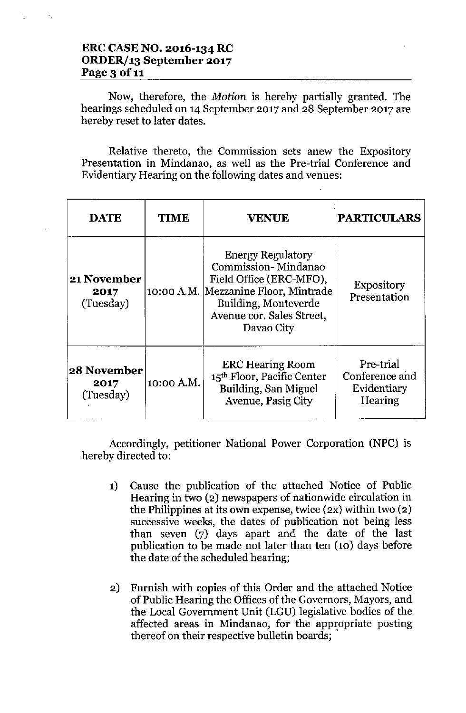## **ERC CASE NO. 2016-134 RC** *ORDERJ13* **September 2017** Page 3 of 11

Now, therefore, the *Motion* is hereby partially granted. The hearings scheduled on 14 September 2017 and 28 September 2017 are hereby reset to later dates.

Relative thereto, the Commission sets anew the Expository Presentation in Mindanao, as well as the Pre-trial Conference and Evidentiary Hearing on the following dates and venues:

| <b>DATE</b>                             | <b>TIME</b> | <b>VENUE</b>                                                                                                                                                                          | <b>PARTICULARS</b>                                    |
|-----------------------------------------|-------------|---------------------------------------------------------------------------------------------------------------------------------------------------------------------------------------|-------------------------------------------------------|
| <b>21 November</b><br>2017<br>(Tuesday) |             | <b>Energy Regulatory</b><br>Commission-Mindanao<br>Field Office (ERC-MFO),<br>10:00 A.M. Mezzanine Floor, Mintrade<br>Building, Monteverde<br>Avenue cor. Sales Street,<br>Davao City | <b>Expository</b><br>Presentation                     |
| 28 November<br>2017<br>(Tuesday)        | 10:00 A.M.  | <b>ERC</b> Hearing Room<br>15 <sup>th</sup> Floor, Pacific Center<br>Building, San Miguel<br>Avenue, Pasig City                                                                       | Pre-trial<br>Conference and<br>Evidentiary<br>Hearing |

Accordingly, petitioner National Power Corporation (NPC) is hereby directed to:

- 1) Cause the publication of the attached Notice of Public Hearing in two (2) newspapers of nationwide circulation in the Philippines at its own expense, twice (2X) within two (2) successive weeks, the dates of publication not being less than seven (7) days apart and the date of the last publication to be made not later than ten (10) days before the date of the scheduled hearing;
- 2) Furnish with copies of this Order and the attached Notice of Public Hearing the Offices of the Governors, Mayors, and the Local Government Unit (LGU) legislative bodies of the affected areas in Mindanao, for the appropriate posting thereof on their respective bulletin boards; .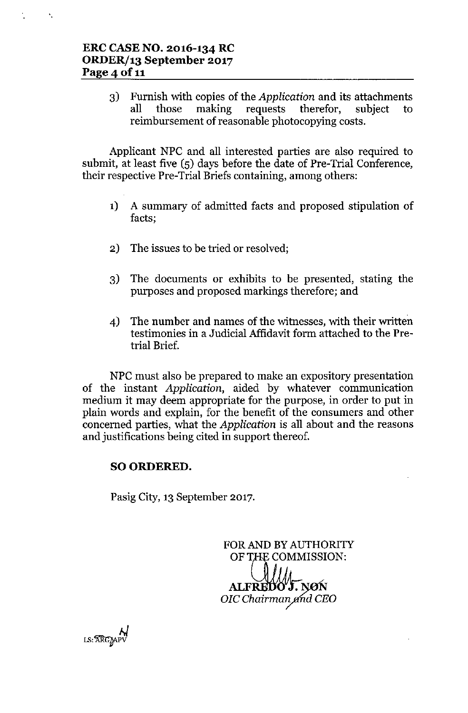$\mathbf{v}_1$ 

3) Furnish with copies of the *Application* and its attachments all those making requests therefor, subject to reimbursement of reasonable photocopying costs.

Applicant NPC and all interested parties are also required to submit, at least five (5) days before the date of Pre-Trial Conference, their respective Pre-Trial Briefs containing, among others:

- 1) A summary of admitted facts and proposed stipulation of facts;
- 2) The issues to be tried or resolved;
- 3) The documents or exhibits to be presented, stating the purposes and proposed markings therefore; and
- 4) The number and names of the witnesses, with their written testimonies in a Judicial Affidavit form attached to the Pretrial Brief.

NPC must also be prepared to make an expository presentation of the instant *Application,* aided by whatever communication medium it may deem appropriate for the purpose, in order to put in plain words and explain, for the benefit of the consumers and other concerned parties, what the *Application* is all about and the reasons and justifications being cited in support thereof.

## SO ORDERED.

Pasig City, 13 September 2017.

FOR AND BY AUTHORITY OF THE COMMISSION: ALFREDO" **J.** NØN *OlC Chairmmytizd CEO*

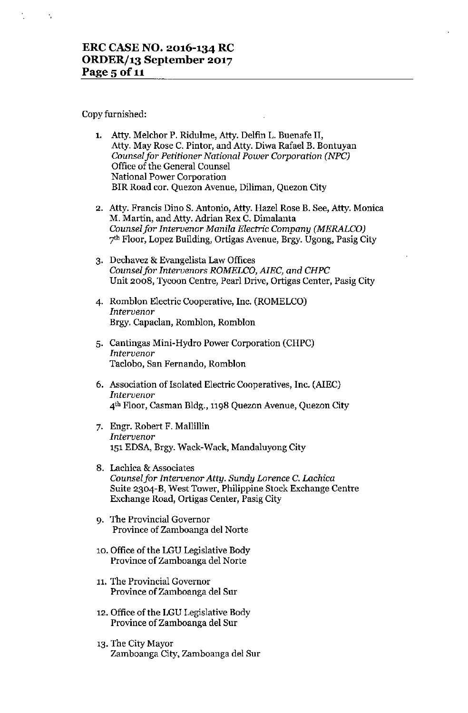Copy furnished:

 $\mathcal{L}_\mathrm{f}$ 

| 1. Atty. Melchor P. Ridulme, Atty. Delfin L. Buenafe II,    |
|-------------------------------------------------------------|
| Atty. May Rose C. Pintor, and Atty. Diwa Rafael B. Bontuyan |
| Counsel for Petitioner National Power Corporation (NPC)     |
| Office of the General Counsel                               |
| National Power Corporation                                  |
| BIR Road cor. Quezon Avenue, Diliman, Quezon City           |

- **2. Atty. Francis Dino S. Antonio, Atty. Hazel Rose B. See, Atty. Monica** M. Martin, and Atty. Adrian Rex C. Dimalanta *Counselfor Intervenor Manila Elecmc Company (MERALCO)* 7<sup>th</sup> Floor, Lopez Building, Ortigas Avenue, Brgy. Ugong, Pasig City
- **3. Dechavez & Evangelista Law Offices** *Counselfor Intervenors ROMELCO, AlEC, and CHPC* **Unit 2008, Tycoon Centre, Pearl Drive, Ortigas Center, Pasig City**
- 4. Romhlon Electric Cooperative, Inc. (ROMELCO) *Intervenor*  $Bry. Capaclan, Romblon, Romblon$
- 5. Cantingas Mini-Hydro Power Corporation (CHPC) *Intervenor* **Taclobo, San Fernando, Romblon**
- 6. Association of Isolated Electric Cooperatives, Inc. (AlEC) *Intervenor* **4th Floor, Casman Bldg., l1g8 Quezon Avenue, Quezon City**
- 7. Engr. Robert F. Mallillin *Intervenor* 151EDSA, Brgy. Wack-Wack, Mandaluyong City
- **8. Lachica & Associates** *Counsel for Intervenor Atty. Sundy Lorence* **C.** *Lachica* Suite 2304-B, West Tower, Philippine Stock Exchange Centre Exchange Road, Ortigas Center, Pasig City
- **9. The Provincial Governor Province of Zamboanga del Norte**
- 10. Office of the LGU Legislative Body **Province of Zamhoanga del Norte**
- **11. The Provincial Governor** Province of Zamboanga del Sur
- 12. Office of the LGU Legislative Body **Province of Zamboanga del Sur**
- 13. The City Mayor Zamboanga City, Zamboanga del Sur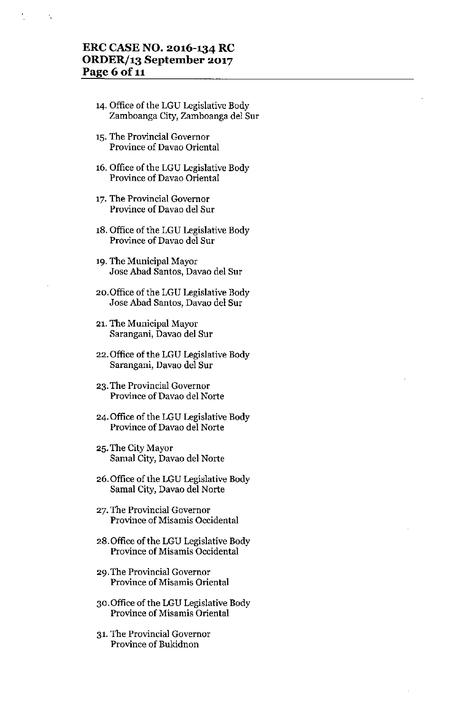## **ERC CASE NO. 2016-134 RC ORDERf13 September 2017** Page 6 of 11

÷,

- '4. Office of the LGU Legislative Body Zamboanga City, Zamboanga del Sur
- **15. The Provincial Governor Province of Davao Oriental**
- 16. Office of the LGU Legislative Body **Province of Davao Oriental**
- **17. The Provincial Governor Province of Davao del Sur**
- 18. Office of the LGU Legislative Body **Province of Davao del Sur**
- '9. The Municipal Mayor Jose Abad Santos, Davao del Sur
- 2o.0ffice of the LGU Legislative Body **Jase Abad Santos, Davao del Sur**
- **21. The Municipal Mayor Sarangani, Davao del Sur**
- 22. Office of the LGU Legislative Body **Sarangani, Davao del Sur**
- **23. The Provincial Governor Province of Davao del Norte**
- 24. Office of the LGU Legislative Body **Province of Davao del Norte**
- 25. The City Mayor Samal City, Davao del Norte
- 26. Office of the LGU Legislative Body Samal City, Davao del Norte
- **27. The Provincial Governor Province of Misamis Occidental**
- 28.0ffice of the LGU Legislative Body **Province of Misamis Occidental**
- **29. The Provincial Governor Province of Misamis Oriental**
- 30.0ffice of the LGU Legislative Body **Province of Misamis Oriental**
- **31. The Provincial Governor Province of Bukidnon**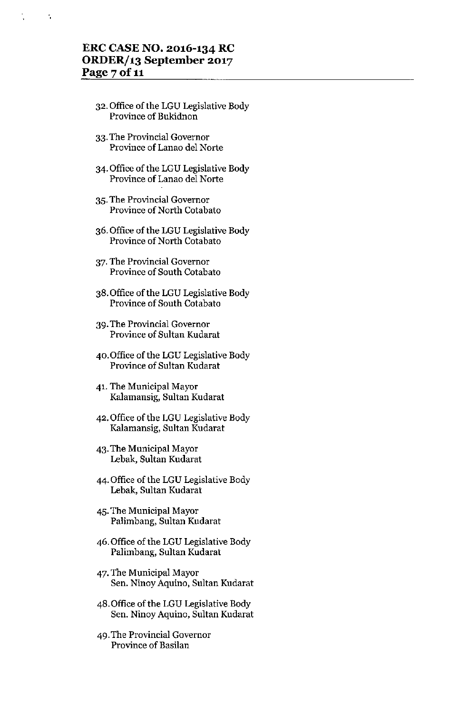## **ERC CASE NO. 2016-134 RC ORDER/13 September 2017 Page 7 of 11**

 $\tilde{\mathbf{u}}$ 

- 32. Office of the LGU Legislative Body **Province of Bukidnon**
- **33. The Provincial Governor Province of Lanao del Norte**
- 34. Office of the LGU Legislative Body **Province** of Lanao **del Norte**
- **35. The Provincial Governor Province** of North **Cotabato**
- 36. Office of the LGU Legislative Body Province of North Cotabato
- **37. The Provincial Governor** Province of South Cotabato
- 38. Office of the LGU Legislative Body Province of South Cotabato
- **39. The Provincial Governor Province of Sultan Kudarat**
- 40. Office of the LGU Legislative Body **Province of Sultan Kudarat**
- 41. The Municipal Mayor **Kalamansig, Sultan Kudarat**
- 42. Office of the LGU Legislative Body Kalamansig, Sultan Kudarat
- 43. The Municipal Mayor Lebak, Sultan Kudarat
- 44. Office of the LGU Legislative Body Lebak, Sultan Kudarat
- 45. The Municipal Mayor Palimbang, Sultan Kudarat
- 46. Office of the LGU Legislative Body Palimbang, Sultan Kudarat
- 47. The Municipal Mayor **Sen. Ninay Aquino, Sultan Kudarat**
- 48. Office of the LGU Legislative Body **Sen. Ninay Aquino, Sultan Kudarat**
- **49. The Provincial Governor Province of Basilan**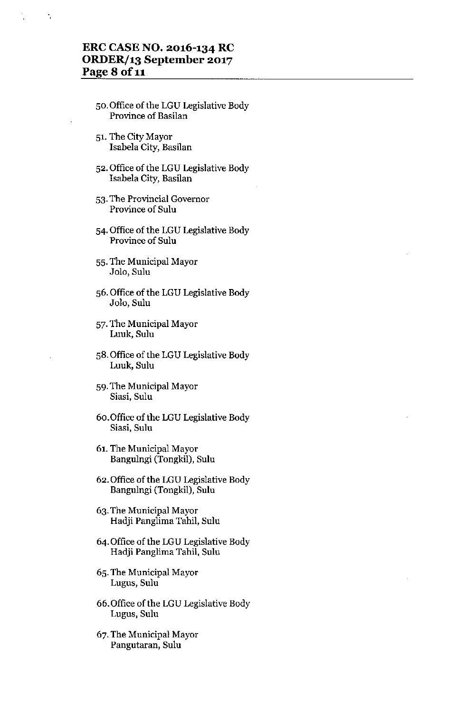## **ERC CASE NO. 2016-134 RC ORDERf13 September 2017 Page 8 of 11**

t,

- 50. Office of the LGU Legislative Body **Province of Basilan**
- 51. The City Mayor **Isabela City, Basilan**
- 52. Office of the LGU Legislative Body Isabela City, Basilan
- **53. The Provincial Governor Province of Sulu**
- 54. Office of the LGU Legislative Body **Province of Sulu**
- 55. The Municipal Mayor **Jol0, Sulu**
- 56. Office of the LGU Legislative Body Jolo, Sulu
- 57. The Municipal Mayor **Luuk, SuIu**
- 58. Office of the LGU Legislative Body Luuk, Sulu
- 59. The Municipal Mayor **Biasi, Sulu**
- 60.0ffice of the LGU Legislative Body **Siasi, Sulu**
- 61. The Municipal Mayor Bangulngi (Tongkil), Sulu
- 62. Office of the LGU Legislative Body Bangulngi (Tougkil), Sulu
- 63. The Municipal Mayor Hadji Panglima Tahil, Sulu
- 64. Office of the LGU Legislative Body Hadji Panglima Tahil, Sulu
- 65. The Municipal Mayor **Lugus, Sulu**
- 66. Office of the LGU Legislative Body **Lugus, Sulu**
- 67. The Municipal Mayor **Pangutaran, Sulu**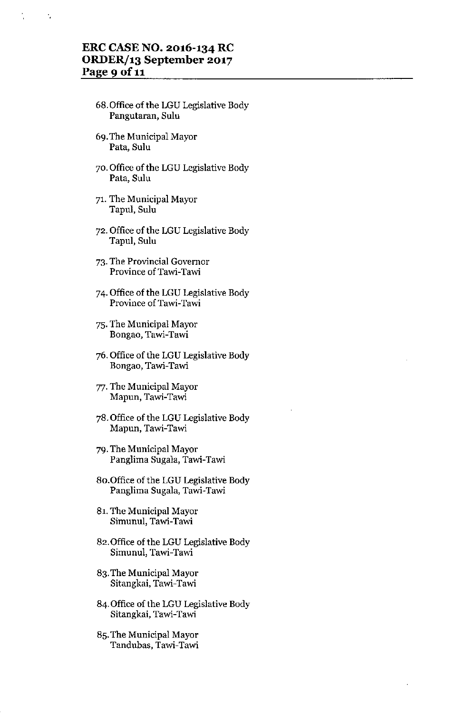#### **ERC CASE NO. 2016-134 RC ORDERf13 September 2017 Page 9** of 11

 $\ddot{\phantom{a}}$ 

- 68. Office of the LGU Legislative Body **Pangutaran, Sulu**
- 69. The Municipal Mayor **Pata, Sulu**
- 70. Office of the LGU Legislative Body **Pata, Sulu**
- 71. The Municipal Mayor Tapul, Sulu
- 72. Office of the LGU Legislative Body Tapul, Sulu
- **73. The Provincial Governor Province of Tawi- Tawi**
- 74. Office of the LGU Legislative Body **Province of Tawi- Tawi**
- 75. The Municipal Mayor **Bongao, Tawi- Tawi**
- 76. Office of the LGU Legislative Body **Bongao, Tawi- Tawi**
- 77. The Municipal Mayor **Mapun, Tawi- Tawi**
- 78. Office of the LGU Legislative Body **Mapun, Tawi-Tawi**
- 79. The Municipal Mayor Panglima Sugala, Tawi-Tawi
- 80.0ffice of the LGU Legislative Body **Panglima Sugala, Tawi- Tawi**
- 81. The Municipal Mayor **Simunul, Tawi- Tawi**
- 82. Office of the LGU Legislative Body **Simunul, Tawi-Tawi**
- 83. The Municipal Mayor Sitangkai, Tawi-Tawi
- 84. Office of the LGU Legislative Body **Sitangkai, Tawi- Tawi**
- 85. The Municipal Mayor **Tandubas, Ta'Wi-Tawi**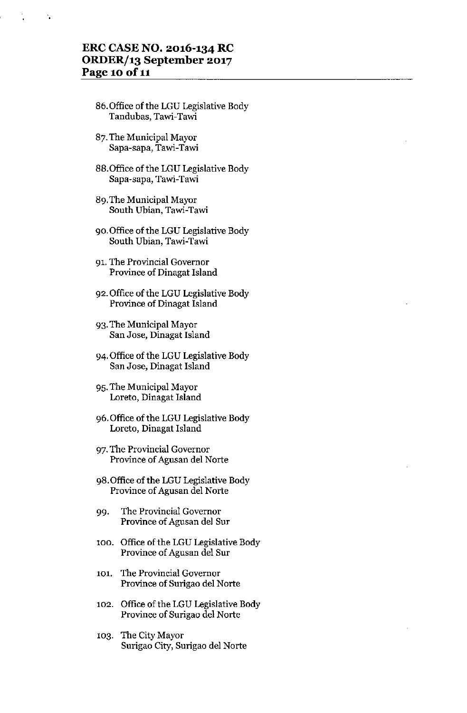## **ERC CASE NO. 2016-134 RC ORDERf13 September 2017** Page 10 of 11

- 86.0ffice of the LGU Legislative Body **Tandubas, Tawi- Tawi**
- 87. The Municipal Mayor **Sapa-sapa, Tawi- Tawi**
- 88.0ffice of the LGU Legislative Body **Sapa-sapa, Tawi- Tawi**
- 89. The Municipal Mayor **South Ubian, Tawi- Tawi**
- 90.0ffice of the LGU Legislative Body South Ubian, Tawi-Tawi
- **91. The Provincial Governor Province of Dinagat Island**
- 92. Office of the LGU Legislative Body **Province of Dinagat Island**
- 93. The Municipal Mayor **San Jase, Dinagat Island**
- 94. Office of the LGU Legislative Body **San Jose, Dinagat Island**
- 95. Tbe Municipal Mayor **Loreto, Dinagat Island**
- 96. Office of the LGU Legislative Body **Loreto, Dinagat Island**
- **97. The Provincial Governor** Province of Agusan del Norte
- 98.0ffice of the LGU Legislative Body **Province of Agusan del Norte**
- **99. The ProvincialGovernor** Province of Agusan del Sur
- 100. Office of the LGU Legislative Body **Province of Agusan del Sur**
- **101. The Provincial Governor Province of Surigao del Norte**
- 102. Office of the LGU Legislative Body **Province of Surigao del Norte**
- 103. The City Mayor Surigao City, Surigao del Norte